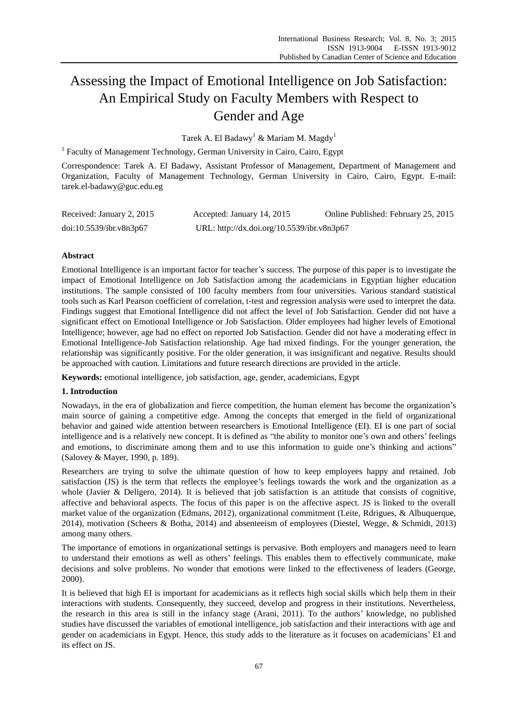# Assessing the Impact of Emotional Intelligence on Job Satisfaction: An Empirical Study on Faculty Members with Respect to Gender and Age

Tarek A. El Badawy<sup>1</sup> & Mariam M. Magdy<sup>1</sup>

<sup>1</sup> Faculty of Management Technology, German University in Cairo, Cairo, Egypt

Correspondence: Tarek A. El Badawy, Assistant Professor of Management, Department of Management and Organization, Faculty of Management Technology, German University in Cairo, Cairo, Egypt. E-mail: tarek.el-badawy@guc.edu.eg

| Received: January 2, 2015 | Accepted: January 14, 2015                 | Online Published: February 25, 2015 |
|---------------------------|--------------------------------------------|-------------------------------------|
| doi:10.5539/ibr.v8n3p67   | URL: http://dx.doi.org/10.5539/ibr.v8n3p67 |                                     |

# **Abstract**

Emotional Intelligence is an important factor for teacher's success. The purpose of this paper is to investigate the impact of Emotional Intelligence on Job Satisfaction among the academicians in Egyptian higher education institutions. The sample consisted of 100 faculty members from four universities. Various standard statistical tools such as Karl Pearson coefficient of correlation, t-test and regression analysis were used to interpret the data. Findings suggest that Emotional Intelligence did not affect the level of Job Satisfaction. Gender did not have a significant effect on Emotional Intelligence or Job Satisfaction. Older employees had higher levels of Emotional Intelligence; however, age had no effect on reported Job Satisfaction. Gender did not have a moderating effect in Emotional Intelligence-Job Satisfaction relationship. Age had mixed findings. For the younger generation, the relationship was significantly positive. For the older generation, it was insignificant and negative. Results should be approached with caution. Limitations and future research directions are provided in the article.

**Keywords:** emotional intelligence, job satisfaction, age, gender, academicians, Egypt

# **1. Introduction**

Nowadays, in the era of globalization and fierce competition, the human element has become the organization's main source of gaining a competitive edge. Among the concepts that emerged in the field of organizational behavior and gained wide attention between researchers is Emotional Intelligence (EI). EI is one part of social intelligence and is a relatively new concept. It is defined as "the ability to monitor one's own and others' feelings and emotions, to discriminate among them and to use this information to guide one's thinking and actions" (Salovey & Mayer, 1990, p. 189).

Researchers are trying to solve the ultimate question of how to keep employees happy and retained. Job satisfaction (JS) is the term that reflects the employee's feelings towards the work and the organization as a whole (Javier & Deligero, 2014). It is believed that job satisfaction is an attitude that consists of cognitive, affective and behavioral aspects. The focus of this paper is on the affective aspect. JS is linked to the overall market value of the organization (Edmans, 2012), organizational commitment (Leite, Rdrigues, & Albuquerque, 2014), motivation (Scheers & Botha, 2014) and absenteeism of employees (Diestel, Wegge, & Schmidt, 2013) among many others.

The importance of emotions in organizational settings is pervasive. Both employers and managers need to learn to understand their emotions as well as others' feelings. This enables them to effectively communicate, make decisions and solve problems. No wonder that emotions were linked to the effectiveness of leaders (George, 2000).

It is believed that high EI is important for academicians as it reflects high social skills which help them in their interactions with students. Consequently, they succeed, develop and progress in their institutions. Nevertheless, the research in this area is still in the infancy stage (Arani, 2011). To the authors' knowledge, no published studies have discussed the variables of emotional intelligence, job satisfaction and their interactions with age and gender on academicians in Egypt. Hence, this study adds to the literature as it focuses on academicians' EI and its effect on JS.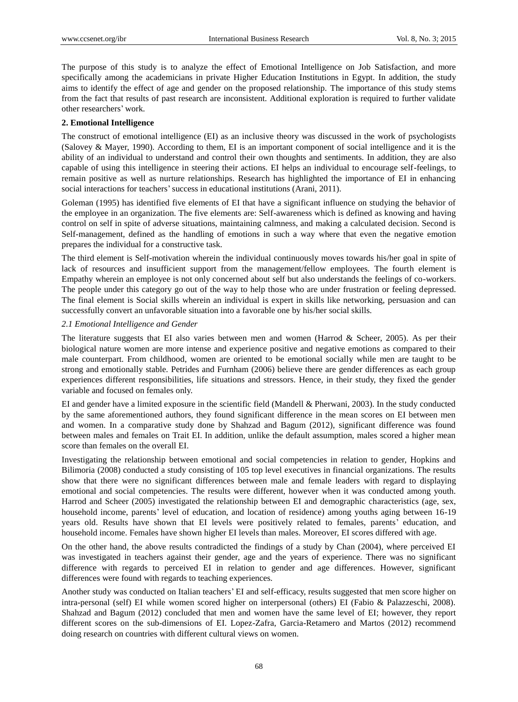The purpose of this study is to analyze the effect of Emotional Intelligence on Job Satisfaction, and more specifically among the academicians in private Higher Education Institutions in Egypt. In addition, the study aims to identify the effect of age and gender on the proposed relationship. The importance of this study stems from the fact that results of past research are inconsistent. Additional exploration is required to further validate other researchers' work.

# **2. Emotional Intelligence**

The construct of emotional intelligence (EI) as an inclusive theory was discussed in the work of psychologists (Salovey & Mayer, 1990). According to them, EI is an important component of social intelligence and it is the ability of an individual to understand and control their own thoughts and sentiments. In addition, they are also capable of using this intelligence in steering their actions. EI helps an individual to encourage self-feelings, to remain positive as well as nurture relationships. Research has highlighted the importance of EI in enhancing social interactions for teachers'success in educational institutions (Arani, 2011).

Goleman (1995) has identified five elements of EI that have a significant influence on studying the behavior of the employee in an organization. The five elements are: Self-awareness which is defined as knowing and having control on self in spite of adverse situations, maintaining calmness, and making a calculated decision. Second is Self-management, defined as the handling of emotions in such a way where that even the negative emotion prepares the individual for a constructive task.

The third element is Self-motivation wherein the individual continuously moves towards his/her goal in spite of lack of resources and insufficient support from the management/fellow employees. The fourth element is Empathy wherein an employee is not only concerned about self but also understands the feelings of co-workers. The people under this category go out of the way to help those who are under frustration or feeling depressed. The final element is Social skills wherein an individual is expert in skills like networking, persuasion and can successfully convert an unfavorable situation into a favorable one by his/her social skills.

# *2.1 Emotional Intelligence and Gender*

The literature suggests that EI also varies between men and women (Harrod & Scheer, 2005). As per their biological nature women are more intense and experience positive and negative emotions as compared to their male counterpart. From childhood, women are oriented to be emotional socially while men are taught to be strong and emotionally stable. Petrides and Furnham (2006) believe there are gender differences as each group experiences different responsibilities, life situations and stressors. Hence, in their study, they fixed the gender variable and focused on females only.

EI and gender have a limited exposure in the scientific field (Mandell & Pherwani, 2003). In the study conducted by the same aforementioned authors, they found significant difference in the mean scores on EI between men and women. In a comparative study done by Shahzad and Bagum (2012), significant difference was found between males and females on Trait EI. In addition, unlike the default assumption, males scored a higher mean score than females on the overall EI.

Investigating the relationship between emotional and social competencies in relation to gender, Hopkins and Bilimoria (2008) conducted a study consisting of 105 top level executives in financial organizations. The results show that there were no significant differences between male and female leaders with regard to displaying emotional and social competencies. The results were different, however when it was conducted among youth. Harrod and Scheer (2005) investigated the relationship between EI and demographic characteristics (age, sex, household income, parents' level of education, and location of residence) among youths aging between 16-19 years old. Results have shown that EI levels were positively related to females, parents' education, and household income. Females have shown higher EI levels than males. Moreover, EI scores differed with age.

On the other hand, the above results contradicted the findings of a study by Chan (2004), where perceived EI was investigated in teachers against their gender, age and the years of experience. There was no significant difference with regards to perceived EI in relation to gender and age differences. However, significant differences were found with regards to teaching experiences.

Another study was conducted on Italian teachers' EI and self-efficacy, results suggested that men score higher on intra-personal (self) EI while women scored higher on interpersonal (others) EI (Fabio & Palazzeschi, 2008). Shahzad and Bagum (2012) concluded that men and women have the same level of EI; however, they report different scores on the sub-dimensions of EI. Lopez-Zafra, Garcia-Retamero and Martos (2012) recommend doing research on countries with different cultural views on women.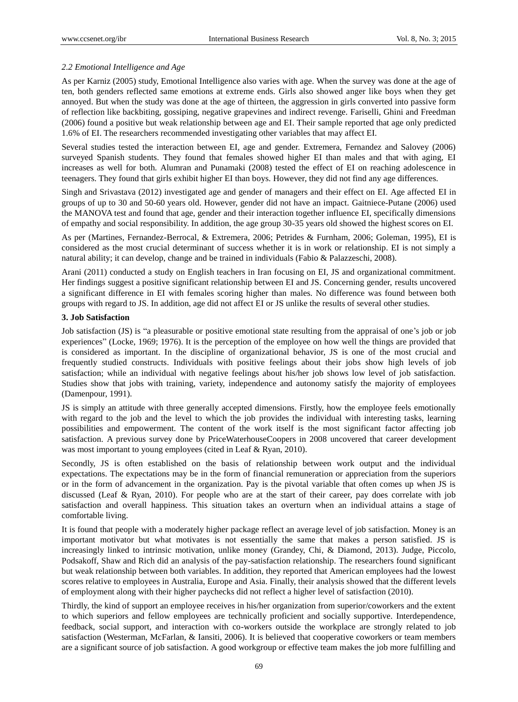# *2.2 Emotional Intelligence and Age*

As per Karniz (2005) study, Emotional Intelligence also varies with age. When the survey was done at the age of ten, both genders reflected same emotions at extreme ends. Girls also showed anger like boys when they get annoyed. But when the study was done at the age of thirteen, the aggression in girls converted into passive form of reflection like backbiting, gossiping, negative grapevines and indirect revenge. Fariselli, Ghini and Freedman (2006) found a positive but weak relationship between age and EI. Their sample reported that age only predicted 1.6% of EI. The researchers recommended investigating other variables that may affect EI.

Several studies tested the interaction between EI, age and gender. Extremera, Fernandez and Salovey (2006) surveyed Spanish students. They found that females showed higher EI than males and that with aging, EI increases as well for both. Alumran and Punamaki (2008) tested the effect of EI on reaching adolescence in teenagers. They found that girls exhibit higher EI than boys. However, they did not find any age differences.

Singh and Srivastava (2012) investigated age and gender of managers and their effect on EI. Age affected EI in groups of up to 30 and 50-60 years old. However, gender did not have an impact. Gaitniece-Putane (2006) used the MANOVA test and found that age, gender and their interaction together influence EI, specifically dimensions of empathy and social responsibility. In addition, the age group 30-35 years old showed the highest scores on EI.

As per (Martines, Fernandez-Berrocal, & Extremera, 2006; Petrides & Furnham, 2006; Goleman, 1995), EI is considered as the most crucial determinant of success whether it is in work or relationship. EI is not simply a natural ability; it can develop, change and be trained in individuals (Fabio & Palazzeschi, 2008).

Arani (2011) conducted a study on English teachers in Iran focusing on EI, JS and organizational commitment. Her findings suggest a positive significant relationship between EI and JS. Concerning gender, results uncovered a significant difference in EI with females scoring higher than males. No difference was found between both groups with regard to JS. In addition, age did not affect EI or JS unlike the results of several other studies.

# **3. Job Satisfaction**

Job satisfaction (JS) is "a pleasurable or positive emotional state resulting from the appraisal of one's job or job experiences" (Locke, 1969; 1976). It is the perception of the employee on how well the things are provided that is considered as important. In the discipline of organizational behavior, JS is one of the most crucial and frequently studied constructs. Individuals with positive feelings about their jobs show high levels of job satisfaction; while an individual with negative feelings about his/her job shows low level of job satisfaction. Studies show that jobs with training, variety, independence and autonomy satisfy the majority of employees (Damenpour, 1991).

JS is simply an attitude with three generally accepted dimensions. Firstly, how the employee feels emotionally with regard to the job and the level to which the job provides the individual with interesting tasks, learning possibilities and empowerment. The content of the work itself is the most significant factor affecting job satisfaction. A previous survey done by PriceWaterhouseCoopers in 2008 uncovered that career development was most important to young employees (cited in Leaf & Ryan, 2010).

Secondly, JS is often established on the basis of relationship between work output and the individual expectations. The expectations may be in the form of financial remuneration or appreciation from the superiors or in the form of advancement in the organization. Pay is the pivotal variable that often comes up when JS is discussed (Leaf & Ryan, 2010). For people who are at the start of their career, pay does correlate with job satisfaction and overall happiness. This situation takes an overturn when an individual attains a stage of comfortable living.

It is found that people with a moderately higher package reflect an average level of job satisfaction. Money is an important motivator but what motivates is not essentially the same that makes a person satisfied. JS is increasingly linked to intrinsic motivation, unlike money (Grandey, Chi, & Diamond, 2013). Judge, Piccolo, Podsakoff, Shaw and Rich did an analysis of the pay-satisfaction relationship. The researchers found significant but weak relationship between both variables. In addition, they reported that American employees had the lowest scores relative to employees in Australia, Europe and Asia. Finally, their analysis showed that the different levels of employment along with their higher paychecks did not reflect a higher level of satisfaction (2010).

Thirdly, the kind of support an employee receives in his/her organization from superior/coworkers and the extent to which superiors and fellow employees are technically proficient and socially supportive. Interdependence, feedback, social support, and interaction with co-workers outside the workplace are strongly related to job satisfaction (Westerman, McFarlan, & Iansiti, 2006). It is believed that cooperative coworkers or team members are a significant source of job satisfaction. A good workgroup or effective team makes the job more fulfilling and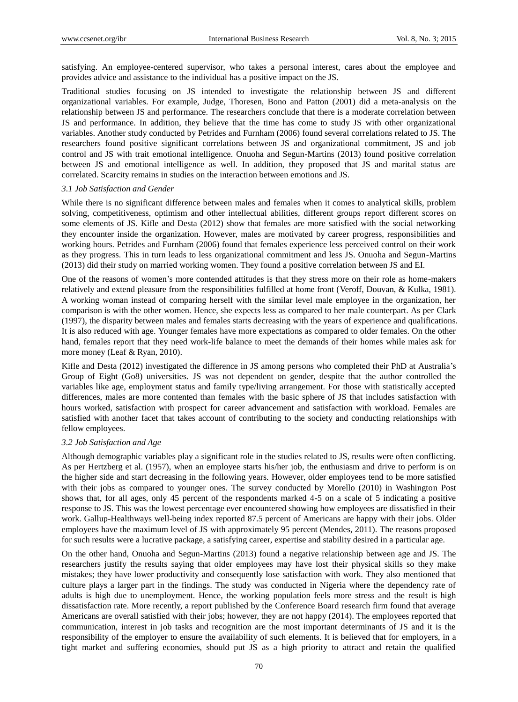satisfying. An employee-centered supervisor, who takes a personal interest, cares about the employee and provides advice and assistance to the individual has a positive impact on the JS.

Traditional studies focusing on JS intended to investigate the relationship between JS and different organizational variables. For example, Judge, Thoresen, Bono and Patton (2001) did a meta-analysis on the relationship between JS and performance. The researchers conclude that there is a moderate correlation between JS and performance. In addition, they believe that the time has come to study JS with other organizational variables. Another study conducted by Petrides and Furnham (2006) found several correlations related to JS. The researchers found positive significant correlations between JS and organizational commitment, JS and job control and JS with trait emotional intelligence. Onuoha and Segun-Martins (2013) found positive correlation between JS and emotional intelligence as well. In addition, they proposed that JS and marital status are correlated. Scarcity remains in studies on the interaction between emotions and JS.

# *3.1 Job Satisfaction and Gender*

While there is no significant difference between males and females when it comes to analytical skills, problem solving, competitiveness, optimism and other intellectual abilities, different groups report different scores on some elements of JS. Kifle and Desta (2012) show that females are more satisfied with the social networking they encounter inside the organization. However, males are motivated by career progress, responsibilities and working hours. Petrides and Furnham (2006) found that females experience less perceived control on their work as they progress. This in turn leads to less organizational commitment and less JS. Onuoha and Segun-Martins (2013) did their study on married working women. They found a positive correlation between JS and EI.

One of the reasons of women's more contended attitudes is that they stress more on their role as home-makers relatively and extend pleasure from the responsibilities fulfilled at home front (Veroff, Douvan, & Kulka, 1981). A working woman instead of comparing herself with the similar level male employee in the organization, her comparison is with the other women. Hence, she expects less as compared to her male counterpart. As per Clark (1997), the disparity between males and females starts decreasing with the years of experience and qualifications. It is also reduced with age. Younger females have more expectations as compared to older females. On the other hand, females report that they need work-life balance to meet the demands of their homes while males ask for more money (Leaf & Ryan, 2010).

Kifle and Desta (2012) investigated the difference in JS among persons who completed their PhD at Australia's Group of Eight (Go8) universities. JS was not dependent on gender, despite that the author controlled the variables like age, employment status and family type/living arrangement. For those with statistically accepted differences, males are more contented than females with the basic sphere of JS that includes satisfaction with hours worked, satisfaction with prospect for career advancement and satisfaction with workload. Females are satisfied with another facet that takes account of contributing to the society and conducting relationships with fellow employees.

## *3.2 Job Satisfaction and Age*

Although demographic variables play a significant role in the studies related to JS, results were often conflicting. As per Hertzberg et al. (1957), when an employee starts his/her job, the enthusiasm and drive to perform is on the higher side and start decreasing in the following years. However, older employees tend to be more satisfied with their jobs as compared to younger ones. The survey conducted by Morello (2010) in Washington Post shows that, for all ages, only 45 percent of the respondents marked 4-5 on a scale of 5 indicating a positive response to JS. This was the lowest percentage ever encountered showing how employees are dissatisfied in their work. Gallup-Healthways well-being index reported 87.5 percent of Americans are happy with their jobs. Older employees have the maximum level of JS with approximately 95 percent (Mendes, 2011). The reasons proposed for such results were a lucrative package, a satisfying career, expertise and stability desired in a particular age.

On the other hand, Onuoha and Segun-Martins (2013) found a negative relationship between age and JS. The researchers justify the results saying that older employees may have lost their physical skills so they make mistakes; they have lower productivity and consequently lose satisfaction with work. They also mentioned that culture plays a larger part in the findings. The study was conducted in Nigeria where the dependency rate of adults is high due to unemployment. Hence, the working population feels more stress and the result is high dissatisfaction rate. More recently, a report published by the Conference Board research firm found that average Americans are overall satisfied with their jobs; however, they are not happy (2014). The employees reported that communication, interest in job tasks and recognition are the most important determinants of JS and it is the responsibility of the employer to ensure the availability of such elements. It is believed that for employers, in a tight market and suffering economies, should put JS as a high priority to attract and retain the qualified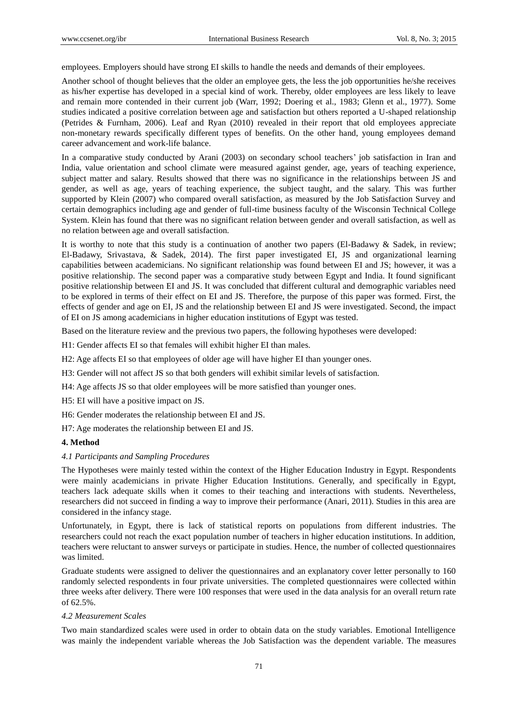employees. Employers should have strong EI skills to handle the needs and demands of their employees.

Another school of thought believes that the older an employee gets, the less the job opportunities he/she receives as his/her expertise has developed in a special kind of work. Thereby, older employees are less likely to leave and remain more contended in their current job (Warr, 1992; Doering et al., 1983; Glenn et al., 1977). Some studies indicated a positive correlation between age and satisfaction but others reported a U-shaped relationship (Petrides & Furnham, 2006). Leaf and Ryan (2010) revealed in their report that old employees appreciate non-monetary rewards specifically different types of benefits. On the other hand, young employees demand career advancement and work-life balance.

In a comparative study conducted by Arani (2003) on secondary school teachers' job satisfaction in Iran and India, value orientation and school climate were measured against gender, age, years of teaching experience, subject matter and salary. Results showed that there was no significance in the relationships between JS and gender, as well as age, years of teaching experience, the subject taught, and the salary. This was further supported by Klein (2007) who compared overall satisfaction, as measured by the Job Satisfaction Survey and certain demographics including age and gender of full-time business faculty of the Wisconsin Technical College System. Klein has found that there was no significant relation between gender and overall satisfaction, as well as no relation between age and overall satisfaction.

It is worthy to note that this study is a continuation of another two papers (El-Badawy & Sadek, in review; El-Badawy, Srivastava, & Sadek, 2014). The first paper investigated EI, JS and organizational learning capabilities between academicians. No significant relationship was found between EI and JS; however, it was a positive relationship. The second paper was a comparative study between Egypt and India. It found significant positive relationship between EI and JS. It was concluded that different cultural and demographic variables need to be explored in terms of their effect on EI and JS. Therefore, the purpose of this paper was formed. First, the effects of gender and age on EI, JS and the relationship between EI and JS were investigated. Second, the impact of EI on JS among academicians in higher education institutions of Egypt was tested.

Based on the literature review and the previous two papers, the following hypotheses were developed:

H1: Gender affects EI so that females will exhibit higher EI than males.

H2: Age affects EI so that employees of older age will have higher EI than younger ones.

H3: Gender will not affect JS so that both genders will exhibit similar levels of satisfaction.

H4: Age affects JS so that older employees will be more satisfied than younger ones.

H5: EI will have a positive impact on JS.

H6: Gender moderates the relationship between EI and JS.

H7: Age moderates the relationship between EI and JS.

# **4. Method**

# *4.1 Participants and Sampling Procedures*

The Hypotheses were mainly tested within the context of the Higher Education Industry in Egypt. Respondents were mainly academicians in private Higher Education Institutions. Generally, and specifically in Egypt, teachers lack adequate skills when it comes to their teaching and interactions with students. Nevertheless, researchers did not succeed in finding a way to improve their performance (Anari, 2011). Studies in this area are considered in the infancy stage.

Unfortunately, in Egypt, there is lack of statistical reports on populations from different industries. The researchers could not reach the exact population number of teachers in higher education institutions. In addition, teachers were reluctant to answer surveys or participate in studies. Hence, the number of collected questionnaires was limited.

Graduate students were assigned to deliver the questionnaires and an explanatory cover letter personally to 160 randomly selected respondents in four private universities. The completed questionnaires were collected within three weeks after delivery. There were 100 responses that were used in the data analysis for an overall return rate of 62.5%.

## *4.2 Measurement Scales*

Two main standardized scales were used in order to obtain data on the study variables. Emotional Intelligence was mainly the independent variable whereas the Job Satisfaction was the dependent variable. The measures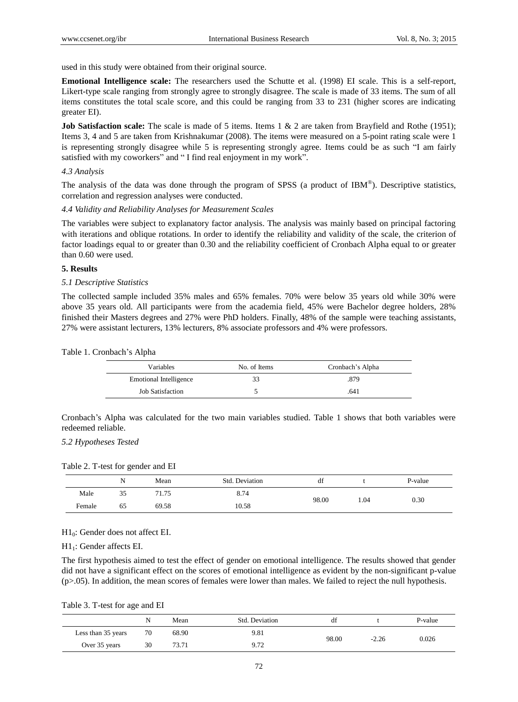used in this study were obtained from their original source.

**Emotional Intelligence scale:** The researchers used the Schutte et al. (1998) EI scale. This is a self-report, Likert-type scale ranging from strongly agree to strongly disagree. The scale is made of 33 items. The sum of all items constitutes the total scale score, and this could be ranging from 33 to 231 (higher scores are indicating greater EI).

**Job Satisfaction scale:** The scale is made of 5 items. Items 1 & 2 are taken from Brayfield and Rothe (1951); Items 3, 4 and 5 are taken from Krishnakumar (2008). The items were measured on a 5-point rating scale were 1 is representing strongly disagree while 5 is representing strongly agree. Items could be as such "I am fairly satisfied with my coworkers" and "I find real enjoyment in my work".

## *4.3 Analysis*

The analysis of the data was done through the program of SPSS (a product of IBM®). Descriptive statistics, correlation and regression analyses were conducted.

## *4.4 Validity and Reliability Analyses for Measurement Scales*

The variables were subject to explanatory factor analysis. The analysis was mainly based on principal factoring with iterations and oblique rotations. In order to identify the reliability and validity of the scale, the criterion of factor loadings equal to or greater than 0.30 and the reliability coefficient of Cronbach Alpha equal to or greater than 0.60 were used.

## **5. Results**

#### *5.1 Descriptive Statistics*

The collected sample included 35% males and 65% females. 70% were below 35 years old while 30% were above 35 years old. All participants were from the academia field, 45% were Bachelor degree holders, 28% finished their Masters degrees and 27% were PhD holders. Finally, 48% of the sample were teaching assistants, 27% were assistant lecturers, 13% lecturers, 8% associate professors and 4% were professors.

|  |  | Table 1. Cronbach's Alpha |  |  |
|--|--|---------------------------|--|--|
|--|--|---------------------------|--|--|

| Variables                     | No. of Items | Cronbach's Alpha |
|-------------------------------|--------------|------------------|
| <b>Emotional Intelligence</b> | 33           | .879             |
| <b>Job Satisfaction</b>       |              | .641             |

Cronbach's Alpha was calculated for the two main variables studied. Table 1 shows that both variables were redeemed reliable.

# *5.2 Hypotheses Tested*

Table 2. T-test for gender and EI

|        |    | Mean  | Std. Deviation | df    |     | P-value |
|--------|----|-------|----------------|-------|-----|---------|
| Male   | 35 | 71.75 | 8.74           | 98.00 | .04 | 0.30    |
| Female | 65 | 69.58 | 10.58          |       |     |         |

## H10: Gender does not affect EI.

H11: Gender affects EI.

The first hypothesis aimed to test the effect of gender on emotional intelligence. The results showed that gender did not have a significant effect on the scores of emotional intelligence as evident by the non-significant p-value (p>.05). In addition, the mean scores of females were lower than males. We failed to reject the null hypothesis.

Table 3. T-test for age and EI

|                    | N  | Mean  | Std. Deviation | đÌ    |         | P-value |
|--------------------|----|-------|----------------|-------|---------|---------|
| Less than 35 years | 70 | 68.90 | 9.81           |       |         |         |
| Over 35 years      | 30 | 73.71 | 9.72           | 98.00 | $-2.26$ | 0.026   |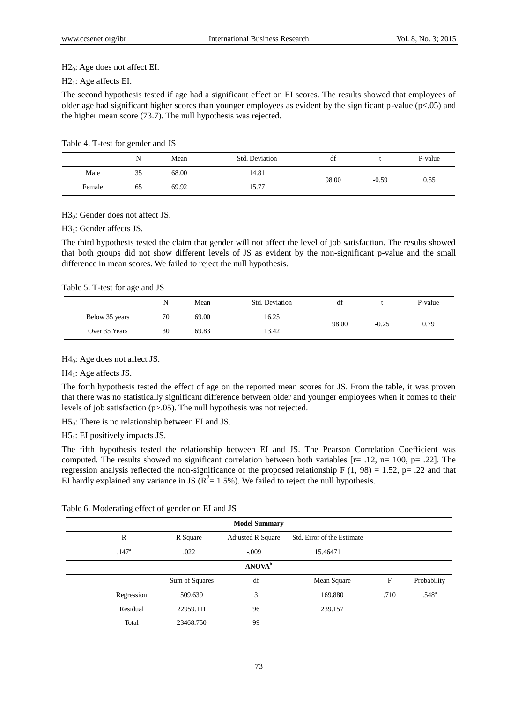$H2<sub>0</sub>$ : Age does not affect EI.

# $H2<sub>1</sub>$ : Age affects EI.

The second hypothesis tested if age had a significant effect on EI scores. The results showed that employees of older age had significant higher scores than younger employees as evident by the significant p-value (p<.05) and the higher mean score (73.7). The null hypothesis was rejected.

Table 4. T-test for gender and JS

|        | N  | Mean  | Std. Deviation | df    |         | P-value |
|--------|----|-------|----------------|-------|---------|---------|
| Male   | 35 | 68.00 | 14.81          | 98.00 | $-0.59$ | 0.55    |
| Female | 65 | 69.92 | 15.77          |       |         |         |

H<sub>30</sub>: Gender does not affect JS.

H31: Gender affects JS.

The third hypothesis tested the claim that gender will not affect the level of job satisfaction. The results showed that both groups did not show different levels of JS as evident by the non-significant p-value and the small difference in mean scores. We failed to reject the null hypothesis.

# Table 5. T-test for age and JS

|                | N  | Mean  | Std. Deviation | df    |         | P-value |
|----------------|----|-------|----------------|-------|---------|---------|
| Below 35 years | 70 | 69.00 | 16.25          | 98.00 | $-0.25$ | 0.79    |
| Over 35 Years  | 30 | 69.83 | 13.42          |       |         |         |

H<sub>40</sub>: Age does not affect JS.

 $H4<sub>1</sub>:$  Age affects JS.

The forth hypothesis tested the effect of age on the reported mean scores for JS. From the table, it was proven that there was no statistically significant difference between older and younger employees when it comes to their levels of job satisfaction (p>.05). The null hypothesis was not rejected.

 $H5<sub>0</sub>$ : There is no relationship between EI and JS.

 $H5<sub>1</sub>$ : EI positively impacts JS.

The fifth hypothesis tested the relationship between EI and JS. The Pearson Correlation Coefficient was computed. The results showed no significant correlation between both variables  $[r=.12, n= 100, p=.22]$ . The regression analysis reflected the non-significance of the proposed relationship F (1, 98) = 1.52, p= .22 and that EI hardly explained any variance in JS ( $R^2$  = 1.5%). We failed to reject the null hypothesis.

| <b>Model Summary</b>      |                   |                |                          |                            |      |                |  |
|---------------------------|-------------------|----------------|--------------------------|----------------------------|------|----------------|--|
|                           | $\mathbb{R}$      | R Square       | <b>Adjusted R Square</b> | Std. Error of the Estimate |      |                |  |
|                           | .147 <sup>a</sup> | .022           | $-.009$                  | 15.46471                   |      |                |  |
| <b>ANOVA</b> <sup>b</sup> |                   |                |                          |                            |      |                |  |
|                           |                   | Sum of Squares | df                       | Mean Square                | F    | Probability    |  |
|                           | Regression        | 509.639        | 3                        | 169.880                    | .710 | $.548^{\circ}$ |  |
|                           | Residual          | 22959.111      | 96                       | 239.157                    |      |                |  |
|                           | Total             | 23468.750      | 99                       |                            |      |                |  |

Table 6. Moderating effect of gender on EI and JS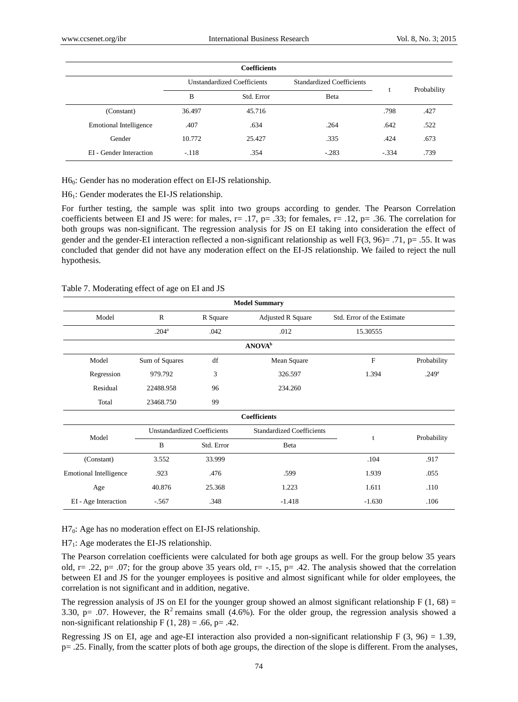|                               |                                    | <b>Coefficients</b> |                                  |         |             |
|-------------------------------|------------------------------------|---------------------|----------------------------------|---------|-------------|
|                               | <b>Unstandardized Coefficients</b> |                     | <b>Standardized Coefficients</b> |         |             |
|                               | B                                  | Std. Error          | Beta                             |         | Probability |
| (Constant)                    | 36.497                             | 45.716              |                                  | .798    | .427        |
| <b>Emotional Intelligence</b> | .407                               | .634                | .264                             | .642    | .522        |
| Gender                        | 10.772                             | 25.427              | .335                             | .424    | .673        |
| EI - Gender Interaction       | $-.118$                            | .354                | $-.283$                          | $-.334$ | .739        |

H<sub>60</sub>: Gender has no moderation effect on EI-JS relationship.

H61: Gender moderates the EI-JS relationship.

For further testing, the sample was split into two groups according to gender. The Pearson Correlation coefficients between EI and JS were: for males,  $r = .17$ ,  $p = .33$ ; for females,  $r = .12$ ,  $p = .36$ . The correlation for both groups was non-significant. The regression analysis for JS on EI taking into consideration the effect of gender and the gender-EI interaction reflected a non-significant relationship as well  $F(3, 96) = .71$ , p= .55. It was concluded that gender did not have any moderation effect on the EI-JS relationship. We failed to reject the null hypothesis.

| Table 7. Moderating effect of age on EI and JS |  |  |
|------------------------------------------------|--|--|
|                                                |  |  |

| <b>Model Summary</b>          |                                    |            |                                  |                            |                   |  |  |  |
|-------------------------------|------------------------------------|------------|----------------------------------|----------------------------|-------------------|--|--|--|
| Model                         | $\mathbb{R}$                       | R Square   | <b>Adjusted R Square</b>         | Std. Error of the Estimate |                   |  |  |  |
|                               | $.204^{\circ}$                     | .042       | .012                             | 15.30555                   |                   |  |  |  |
| ANOVA <sup>b</sup>            |                                    |            |                                  |                            |                   |  |  |  |
| Model                         | Sum of Squares                     | df         | Mean Square                      | $\mathbf{F}$               | Probability       |  |  |  |
| Regression                    | 979.792                            | 3          | 326.597                          | 1.394                      | .249 <sup>a</sup> |  |  |  |
| Residual                      | 22488.958                          | 96         | 234.260                          |                            |                   |  |  |  |
| Total                         | 23468.750                          | 99         |                                  |                            |                   |  |  |  |
|                               |                                    |            | <b>Coefficients</b>              |                            |                   |  |  |  |
| Model                         | <b>Unstandardized Coefficients</b> |            | <b>Standardized Coefficients</b> |                            |                   |  |  |  |
|                               | B                                  | Std. Error | Beta                             | t                          | Probability       |  |  |  |
| (Constant)                    | 3.552                              | 33.999     |                                  | .104                       | .917              |  |  |  |
| <b>Emotional Intelligence</b> | .923                               | .476       | .599                             | 1.939                      | .055              |  |  |  |
| Age                           | 40.876                             | 25.368     | 1.223                            | 1.611                      | .110              |  |  |  |
| EI - Age Interaction          | $-.567$                            | .348       | $-1.418$                         | $-1.630$                   | .106              |  |  |  |

H7<sub>0</sub>: Age has no moderation effect on EI-JS relationship.

H71: Age moderates the EI-JS relationship.

The Pearson correlation coefficients were calculated for both age groups as well. For the group below 35 years old, r= .22, p= .07; for the group above 35 years old, r=  $-1.15$ , p= .42. The analysis showed that the correlation between EI and JS for the younger employees is positive and almost significant while for older employees, the correlation is not significant and in addition, negative.

The regression analysis of JS on EI for the younger group showed an almost significant relationship  $F(1, 68) =$ 3.30, p= .07. However, the  $R^2$  remains small (4.6%). For the older group, the regression analysis showed a non-significant relationship F  $(1, 28) = .66$ , p= .42.

Regressing JS on EI, age and age-EI interaction also provided a non-significant relationship F  $(3, 96) = 1.39$ , p= .25. Finally, from the scatter plots of both age groups, the direction of the slope is different. From the analyses,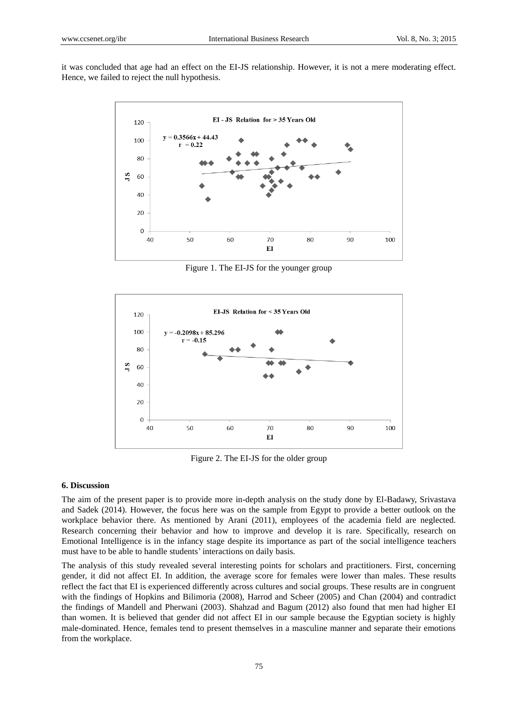it was concluded that age had an effect on the EI-JS relationship. However, it is not a mere moderating effect. Hence, we failed to reject the null hypothesis.



Figure 1. The EI-JS for the younger group



Figure 2. The EI-JS for the older group

## **6. Discussion**

The aim of the present paper is to provide more in-depth analysis on the study done by El-Badawy, Srivastava and Sadek (2014). However, the focus here was on the sample from Egypt to provide a better outlook on the workplace behavior there. As mentioned by Arani (2011), employees of the academia field are neglected. Research concerning their behavior and how to improve and develop it is rare. Specifically, research on Emotional Intelligence is in the infancy stage despite its importance as part of the social intelligence teachers must have to be able to handle students' interactions on daily basis.

The analysis of this study revealed several interesting points for scholars and practitioners. First, concerning gender, it did not affect EI. In addition, the average score for females were lower than males. These results reflect the fact that EI is experienced differently across cultures and social groups. These results are in congruent with the findings of Hopkins and Bilimoria (2008), Harrod and Scheer (2005) and Chan (2004) and contradict the findings of Mandell and Pherwani (2003). Shahzad and Bagum (2012) also found that men had higher EI than women. It is believed that gender did not affect EI in our sample because the Egyptian society is highly male-dominated. Hence, females tend to present themselves in a masculine manner and separate their emotions from the workplace.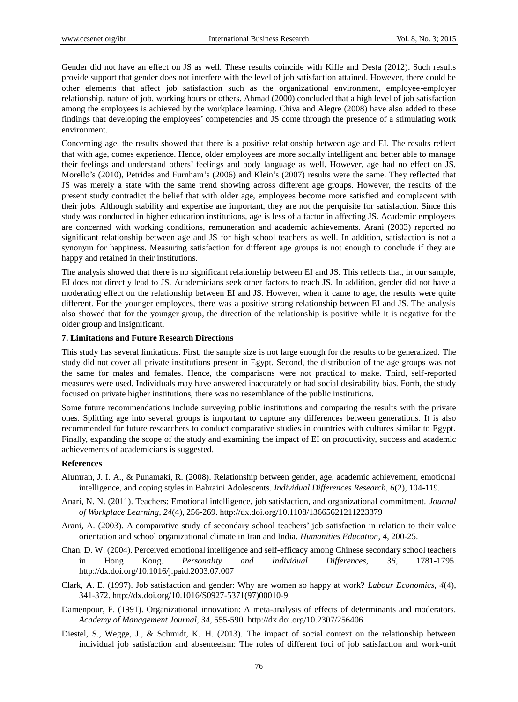Gender did not have an effect on JS as well. These results coincide with Kifle and Desta (2012). Such results provide support that gender does not interfere with the level of job satisfaction attained. However, there could be other elements that affect job satisfaction such as the organizational environment, employee-employer relationship, nature of job, working hours or others. Ahmad (2000) concluded that a high level of job satisfaction among the employees is achieved by the workplace learning. Chiva and Alegre (2008) have also added to these findings that developing the employees' competencies and JS come through the presence of a stimulating work environment.

Concerning age, the results showed that there is a positive relationship between age and EI. The results reflect that with age, comes experience. Hence, older employees are more socially intelligent and better able to manage their feelings and understand others' feelings and body language as well. However, age had no effect on JS. Morello's (2010), Petrides and Furnham's (2006) and Klein's (2007) results were the same. They reflected that JS was merely a state with the same trend showing across different age groups. However, the results of the present study contradict the belief that with older age, employees become more satisfied and complacent with their jobs. Although stability and expertise are important, they are not the perquisite for satisfaction. Since this study was conducted in higher education institutions, age is less of a factor in affecting JS. Academic employees are concerned with working conditions, remuneration and academic achievements. Arani (2003) reported no significant relationship between age and JS for high school teachers as well. In addition, satisfaction is not a synonym for happiness. Measuring satisfaction for different age groups is not enough to conclude if they are happy and retained in their institutions.

The analysis showed that there is no significant relationship between EI and JS. This reflects that, in our sample, EI does not directly lead to JS. Academicians seek other factors to reach JS. In addition, gender did not have a moderating effect on the relationship between EI and JS. However, when it came to age, the results were quite different. For the younger employees, there was a positive strong relationship between EI and JS. The analysis also showed that for the younger group, the direction of the relationship is positive while it is negative for the older group and insignificant.

# **7. Limitations and Future Research Directions**

This study has several limitations. First, the sample size is not large enough for the results to be generalized. The study did not cover all private institutions present in Egypt. Second, the distribution of the age groups was not the same for males and females. Hence, the comparisons were not practical to make. Third, self-reported measures were used. Individuals may have answered inaccurately or had social desirability bias. Forth, the study focused on private higher institutions, there was no resemblance of the public institutions.

Some future recommendations include surveying public institutions and comparing the results with the private ones. Splitting age into several groups is important to capture any differences between generations. It is also recommended for future researchers to conduct comparative studies in countries with cultures similar to Egypt. Finally, expanding the scope of the study and examining the impact of EI on productivity, success and academic achievements of academicians is suggested.

# **References**

- Alumran, J. I. A., & Punamaki, R. (2008). Relationship between gender, age, academic achievement, emotional intelligence, and coping styles in Bahraini Adolescents. *Individual Differences Research, 6*(2), 104-119.
- Anari, N. N. (2011). Teachers: Emotional intelligence, job satisfaction, and organizational commitment. *Journal of Workplace Learning, 24*(4), 256-269. http://dx.doi.org/10.1108/13665621211223379
- Arani, A. (2003). A comparative study of secondary school teachers' job satisfaction in relation to their value orientation and school organizational climate in Iran and India. *Humanities Education, 4*, 200-25.
- Chan, D. W. (2004). Perceived emotional intelligence and self-efficacy among Chinese secondary school teachers in Hong Kong. *Personality and Individual Differences*, *36*, 1781-1795. http://dx.doi.org/10.1016/j.paid.2003.07.007
- Clark, A. E. (1997). Job satisfaction and gender: Why are women so happy at work? *Labour Economics, 4*(4), 341-372. http://dx.doi.org/10.1016/S0927-5371(97)00010-9
- Damenpour, F. (1991). Organizational innovation: A meta-analysis of effects of determinants and moderators. *Academy of Management Journal, 34*, 555-590. http://dx.doi.org/10.2307/256406
- Diestel, S., Wegge, J., & Schmidt, K. H. (2013). The impact of social context on the relationship between individual job satisfaction and absenteeism: The roles of different foci of job satisfaction and work-unit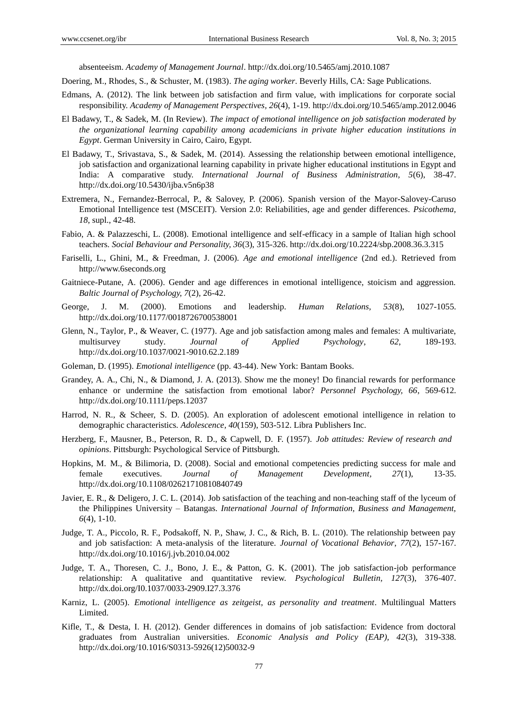absenteeism. *Academy of Management Journal*. http://dx.doi.org/10.5465/amj.2010.1087

- Doering, M., Rhodes, S., & Schuster, M. (1983). *The aging worker*. Beverly Hills, CA: Sage Publications.
- Edmans, A. (2012). The link between job satisfaction and firm value, with implications for corporate social responsibility. *Academy of Management Perspectives, 26*(4), 1-19. http://dx.doi.org/10.5465/amp.2012.0046
- El Badawy, T., & Sadek, M. (In Review). *The impact of emotional intelligence on job satisfaction moderated by the organizational learning capability among academicians in private higher education institutions in Egypt*. German University in Cairo, Cairo, Egypt.
- El Badawy, T., Srivastava, S., & Sadek, M. (2014). Assessing the relationship between emotional intelligence, job satisfaction and organizational learning capability in private higher educational institutions in Egypt and India: A comparative study. *International Journal of Business Administration, 5*(6), 38-47. http://dx.doi.org/10.5430/ijba.v5n6p38
- Extremera, N., Fernandez-Berrocal, P., & Salovey, P. (2006). Spanish version of the Mayor-Salovey-Caruso Emotional Intelligence test (MSCEIT). Version 2.0: Reliabilities, age and gender differences. *Psicothema, 18*, supl., 42-48.
- Fabio, A. & Palazzeschi, L. (2008). Emotional intelligence and self-efficacy in a sample of Italian high school teachers. *Social Behaviour and Personality, 36*(3), 315-326. http://dx.doi.org/10.2224/sbp.2008.36.3.315
- Fariselli, L., Ghini, M., & Freedman, J. (2006). *Age and emotional intelligence* (2nd ed.). Retrieved from http://www.6seconds.org
- Gaitniece-Putane, A. (2006). Gender and age differences in emotional intelligence, stoicism and aggression. *Baltic Journal of Psychology, 7*(2), 26-42.
- George, J. M. (2000). Emotions and leadership. *Human Relations, 53*(8), 1027-1055. http://dx.doi.org/10.1177/0018726700538001
- Glenn, N., Taylor, P., & Weaver, C. (1977). Age and job satisfaction among males and females: A multivariate, multisurvey study. *Journal of Applied Psychology*, *62*, 189-193. http://dx.doi.org/10.1037/0021-9010.62.2.189
- Goleman, D. (1995). *Emotional intelligence* (pp. 43-44). New York: Bantam Books.
- Grandey, A. A., Chi, N., & Diamond, J. A. (2013). Show me the money! Do financial rewards for performance enhance or undermine the satisfaction from emotional labor? *Personnel Psychology, 66*, 569-612. http://dx.doi.org/10.1111/peps.12037
- Harrod, N. R., & Scheer, S. D. (2005). An exploration of adolescent emotional intelligence in relation to demographic characteristics. *Adolescence, 40*(159), 503-512. Libra Publishers Inc.
- Herzberg, F., Mausner, B., Peterson, R. D., & Capwell, D. F. (1957). *Job attitudes: Review of research and opinions*. Pittsburgh: Psychological Service of Pittsburgh.
- Hopkins, M. M., & Bilimoria, D. (2008). Social and emotional competencies predicting success for male and female executives. *Journal of Management Development, 27*(1), 13-35. http://dx.doi.org/10.1108/02621710810840749
- Javier, E. R., & Deligero, J. C. L. (2014). Job satisfaction of the teaching and non-teaching staff of the lyceum of the Philippines University – Batangas. *International Journal of Information, Business and Management, 6*(4), 1-10.
- Judge, T. A., Piccolo, R. F., Podsakoff, N. P., Shaw, J. C., & Rich, B. L. (2010). The relationship between pay and job satisfaction: A meta-analysis of the literature. *Journal of Vocational Behavior*, *77*(2), 157-167. http://dx.doi.org/10.1016/j.jvb.2010.04.002
- Judge, T. A., Thoresen, C. J., Bono, J. E., & Patton, G. K. (2001). The job satisfaction-job performance relationship: A qualitative and quantitative review. *Psychological Bulletin, 127*(3), 376-407. http://dx.doi.org/I0.1037/0033-2909.I27.3.376
- Karniz, L. (2005). *Emotional intelligence as zeitgeist, as personality and treatment*. Multilingual Matters Limited.
- Kifle, T., & Desta, I. H. (2012). Gender differences in domains of job satisfaction: Evidence from doctoral graduates from Australian universities. *Economic Analysis and Policy (EAP), 42*(3), 319-338. http://dx.doi.org/10.1016/S0313-5926(12)50032-9